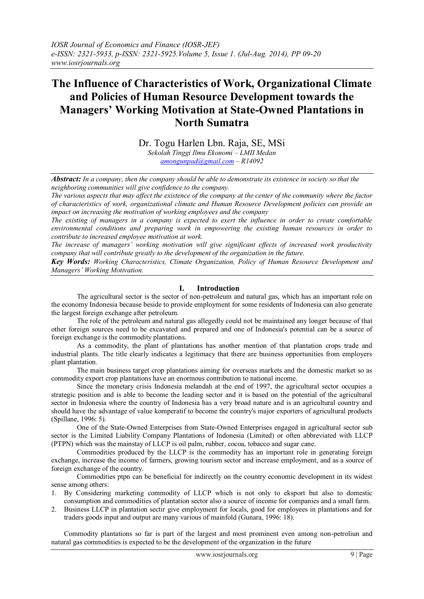# **The Influence of Characteristics of Work, Organizational Climate and Policies of Human Resource Development towards the Managers' Working Motivation at State-Owned Plantations in North Sumatra**

Dr. Togu Harlen Lbn. Raja, SE, MSi *Sekolah Tinggi Ilmu Ekonomi – LMII Medan [amongunpad@gmail.com](mailto:amongunpad@gmail.com) – R14092*

*Abstract: In a company, then the company should be able to demonstrate its existence in society so that the neighboring communities will give confidence to the company.*

*The various aspects that may affect the existence of the company at the center of the community where the factor of characteristics of work, organizational climate and Human Resource Development policies can provide an impact on increasing the motivation of working employees and the company*

*The existing of managers in a company is expected to exert the influence in order to create comfortable environmental conditions and preparing work in empowering the existing human resources in order to contribute to increased employee motivation at work.*

*The increase of managers' working motivation will give significant effects of increased work productivity company that will contribute greatly to the development of the organization in the future.*

*Key Words: Working Characteristics, Climate Organization, Policy of Human Resource Development and Managers' Working Motivation.*

## **I. Introduction**

The agricultural sector is the sector of non-petroleum and natural gas, which has an important role on the economy Indonesia because beside to provide employment for some residents of Indonesia can also generate the largest foreign exchange after petroleum.

The role of the petroleum and natural gas allegedly could not be maintained any longer because of that other foreign sources need to be excavated and prepared and one of Indonesia's potential can be a source of foreign exchange is the commodity plantations.

As a commodity, the plant of plantations has another mention of that plantation crops trade and industrial plants. The title clearly indicates a legitimacy that there are business opportunities from employers plant plantation.

The main business target crop plantations aiming for overseas markets and the domestic market so as commodity export crop plantations have an enormous contribution to national income.

Since the monetary crisis Indonesia melandah at the end of 1997, the agricultural sector occupies a strategic position and is able to become the leading sector and it is based on the potential of the agricultural sector in Indonesia where the country of Indonesia has a very broad nature and is an agricultural country and should have the advantage of value komperatif to become the country's major exporters of agricultural products (Spillane, 1996: 5).

One of the State-Owned Enterprises from State-Owned Enterprises engaged in agricultural sector sub sector is the Limited Liability Company Plantations of Indonesia (Limited) or often abbreviated with LLCP (PTPN) which was the mainstay of LLCP is oil palm, rubber, cocoa, tobacco and sugar cane.

Commodities produced by the LLCP is the commodity has an important role in generating foreign exchange, increase the income of farmers, growing tourism sector and increase employment, and as a source of foreign exchange of the country.

Commodities ptpn can be beneficial for indirectly on the country economic development in its widest sense among others:

- 1. By Considering marketing commodity of LLCP which is not only to eksport but also to domestic consumption and commodities of plantation sector also a source of income for companies and a small farm.
- 2. Business LLCP in plantation sectir give employment for locals, good for employees in plantations and for traders goods input and output are many various of mainfold (Gunara, 1996: 18).

Commodity plantations so far is part of the largest and most prominent even among non-petroliun and natural gas commodities is expected to be the development of the organization in the future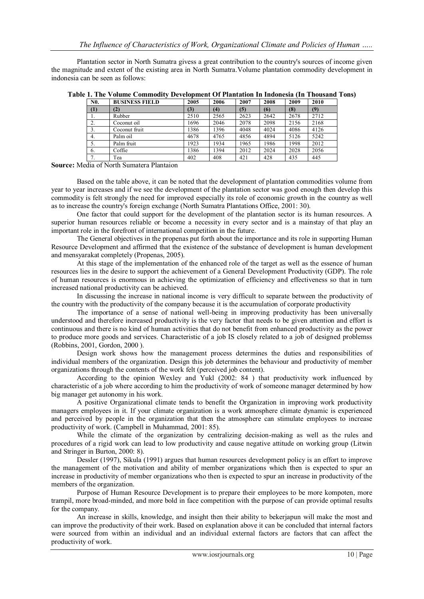Plantation sector in North Sumatra givess a great contribution to the country's sources of income given the magnitude and extent of the existing area in North Sumatra.Volume plantation commodity development in indonesia can be seen as follows:

| N <sub>0</sub> . | <b>BUSINESS FIELD</b> | 2005 | 2006 | 2007 | 2008 | 2009 | 2010 |
|------------------|-----------------------|------|------|------|------|------|------|
| (1)              | (2)                   | (3)  | (4)  | (5)  | (6)  | (8)  | (9)  |
| .,               | Rubber                | 2510 | 2565 | 2623 | 2642 | 2678 | 2712 |
| 2.               | Coconut oil           | 1696 | 2046 | 2078 | 2098 | 2156 | 2168 |
| 3.               | Coconut fruit         | 1386 | 1396 | 4048 | 4024 | 4086 | 4126 |
| 4.               | Palm oil              | 4678 | 4765 | 4856 | 4894 | 5126 | 5242 |
| 5.               | Palm fruit            | 1923 | 1934 | 1965 | 1986 | 1998 | 2012 |
| 6.               | Coffie                | 1386 | 1394 | 2012 | 2024 | 2028 | 2056 |
| 7<br>$\prime$ .  | Tea                   | 402  | 408  | 421  | 428  | 435  | 445  |

**Table 1. The Volume Commodity Development Of Plantation In Indonesia (In Thousand Tons)**

**Source:** Media of North Sumatera Plantaion

Based on the table above, it can be noted that the development of plantation commodities volume from year to year increases and if we see the development of the plantation sector was good enough then develop this commodity is felt strongly the need for improved especially its role of economic growth in the country as well as to increase the country's foreign exchange (North Sumatra Plantations Office, 2001: 30).

One factor that could support for the development of the plantation sector is its human resources. A superior human resources reliable or become a necessity in every sector and is a mainstay of that play an important role in the forefront of international competition in the future.

The General objectives in the propenas put forth about the importance and its role in supporting Human Resource Development and affirmed that the existence of the substance of development is human development and mensyarakat completely (Propenas, 2005).

At this stage of the implementation of the enhanced role of the target as well as the essence of human resources lies in the desire to support the achievement of a General Development Productivity (GDP). The role of human resources is enormous in achieving the optimization of efficiency and effectiveness so that in turn increased national productivity can be achieved.

In discussing the increase in national income is very difficult to separate between the productivity of the country with the productivity of the company because it is the accumulation of corporate productivity

The importance of a sense of national well-being in improving productivity has been universally understood and therefore increased productivity is the very factor that needs to be given attention and effort is continuous and there is no kind of human activities that do not benefit from enhanced productivity as the power to produce more goods and services. Characteristic of a job IS closely related to a job of designed problemss (Robbins, 2001, Gordon, 2000 ).

Design work shows how the management process determines the duties and responsibilities of individual members of the organization. Design this job determines the behaviour and productivity of member organizations through the contents of the work felt (perceived job content).

According to the opinion Wexley and Yukl (2002: 84 ) that productivity work influenced by characteristic of a job where according to him the productivity of work of someone manager determined by how big manager get autonomy in his work.

A positive Organizational climate tends to benefit the Organization in improving work productivity managers employees in it. If your climate organization is a work atmosphere climate dynamic is experienced and perceived by people in the organization that then the atmosphere can stimulate employees to increase productivity of work. (Campbell in Muhammad, 2001: 85).

While the climate of the organization by centralizing decision-making as well as the rules and procedures of a rigid work can lead to low productivity and cause negative attitude on working group (Litwin and Stringer in Burton, 2000: 8).

Dessler (1997), Sikula (1991) argues that human resources development policy is an effort to improve the management of the motivation and ability of member organizations which then is expected to spur an increase in productivity of member organizations who then is expected to spur an increase in productivity of the members of the organization.

Purpose of Human Resource Development is to prepare their employees to be more kompoten, more trampil, more broad-minded, and more bold in face competition with the purpose of can provide optimal results for the company.

An increase in skills, knowledge, and insight then their ability to bekerjapun will make the most and can improve the productivity of their work. Based on explanation above it can be concluded that internal factors were sourced from within an individual and an individual external factors are factors that can affect the productivity of work.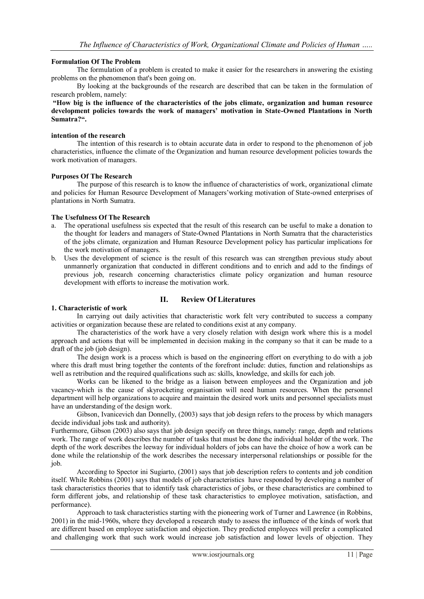## **Formulation Of The Problem**

The formulation of a problem is created to make it easier for the researchers in answering the existing problems on the phenomenon that's been going on.

By looking at the backgrounds of the research are described that can be taken in the formulation of research problem, namely:

**"How big is the influence of the characteristics of the jobs climate, organization and human resource development policies towards the work of managers' motivation in State-Owned Plantations in North Sumatra?".** 

#### **intention of the research**

The intention of this research is to obtain accurate data in order to respond to the phenomenon of job characteristics, influence the climate of the Organization and human resource development policies towards the work motivation of managers.

## **Purposes Of The Research**

The purpose of this research is to know the influence of characteristics of work, organizational climate and policies for Human Resource Development of Managers'working motivation of State-owned enterprises of plantations in North Sumatra.

## **The Usefulness Of The Research**

- a. The operational usefulness sis expected that the result of this research can be useful to make a donation to the thought for leaders and managers of State-Owned Plantations in North Sumatra that the characteristics of the jobs climate, organization and Human Resource Development policy has particular implications for the work motivation of managers.
- b. Uses the development of science is the result of this research was can strengthen previous study about unmannerly organization that conducted in different conditions and to enrich and add to the findings of previous job, research concerning characteristics climate policy organization and human resource development with efforts to increase the motivation work.

# **II. Review Of Literatures**

## **1. Characteristic of work**

In carrying out daily activities that characteristic work felt very contributed to success a company activities or organization because these are related to conditions exist at any company.

The characteristics of the work have a very closely relation with design work where this is a model approach and actions that will be implemented in decision making in the company so that it can be made to a draft of the job (job design).

The design work is a process which is based on the engineering effort on everything to do with a job where this draft must bring together the contents of the forefront include: duties, function and relationships as well as retribution and the required qualifications such as: skills, knowledge, and skills for each job.

Works can be likened to the bridge as a liaison between employees and the Organization and job vacancy-which is the cause of skyrocketing organisation will need human resources. When the personnel department will help organizations to acquire and maintain the desired work units and personnel specialists must have an understanding of the design work.

Gibson, Ivanicevich dan Donnelly, (2003) says that job design refers to the process by which managers decide individual jobs task and authority).

Furthermore, Gibson (2003) also says that job design specify on three things, namely: range, depth and relations work. The range of work describes the number of tasks that must be done the individual holder of the work. The depth of the work describes the leeway for individual holders of jobs can have the choice of how a work can be done while the relationship of the work describes the necessary interpersonal relationships or possible for the job.

According to Spector ini Sugiarto, (2001) says that job description refers to contents and job condition itself. While Robbins (2001) says that models of job characteristics have responded by developing a number of task characteristics theories that to identify task characteristics of jobs, or these characteristics are combined to form different jobs, and relationship of these task characteristics to employee motivation, satisfaction, and performance).

Approach to task characteristics starting with the pioneering work of Turner and Lawrence (in Robbins, 2001) in the mid-1960s, where they developed a research study to assess the influence of the kinds of work that are different based on employee satisfaction and objection. They predicted employees will prefer a complicated and challenging work that such work would increase job satisfaction and lower levels of objection. They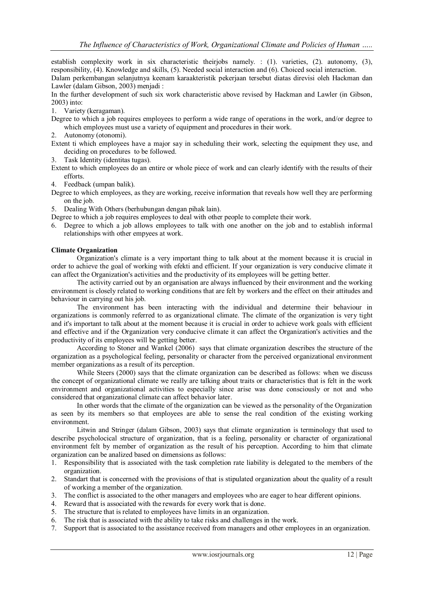establish complexity work in six characteristic theirjobs namely. : (1). varieties, (2). autonomy, (3), responsibility, (4). Knowledge and skills, (5). Needed social interaction and (6). Choiced social interaction.

Dalam perkembangan selanjutnya keenam karaakteristik pekerjaan tersebut diatas direvisi oleh Hackman dan Lawler (dalam Gibson, 2003) menjadi :

In the further development of such six work characteristic above revised by Hackman and Lawler (in Gibson, 2003) into:

1. Variety (keragaman).

Degree to which a job requires employees to perform a wide range of operations in the work, and/or degree to which employees must use a variety of equipment and procedures in their work.

- 2. Autonomy (otonomi).
- Extent ti which employees have a major say in scheduling their work, selecting the equipment they use, and deciding on procedures to be followed.
- 3. Task Identity (identitas tugas).

Extent to which employees do an entire or whole piece of work and can clearly identify with the results of their efforts.

4. Feedback (umpan balik).

Degree to which employees, as they are working, receive information that reveals how well they are performing on the job.

5. Dealing With Others (berhubungan dengan pihak lain).

Degree to which a job requires employees to deal with other people to complete their work.

6. Degree to which a job allows employees to talk with one another on the job and to establish informal relationships with other empyees at work.

## **Climate Organization**

Organization's climate is a very important thing to talk about at the moment because it is crucial in order to achieve the goal of working with efekti and efficient. If your organization is very conducive climate it can affect the Organization's activities and the productivity of its employees will be getting better.

The activity carried out by an organisation are always influenced by their environment and the working environment is closely related to working conditions that are felt by workers and the effect on their attitudes and behaviour in carrying out his job.

The environment has been interacting with the individual and determine their behaviour in organizations is commonly referred to as organizational climate. The climate of the organization is very tight and it's important to talk about at the moment because it is crucial in order to achieve work goals with efficient and effective and if the Organization very conducive climate it can affect the Organization's activities and the productivity of its employees will be getting better.

According to Stoner and Wankel (2006) says that climate organization describes the structure of the organization as a psychological feeling, personality or character from the perceived organizational environment member organizations as a result of its perception.

While Steers (2000) says that the climate organization can be described as follows: when we discuss the concept of organizational climate we really are talking about traits or characteristics that is felt in the work environment and organizational activities to especially since arise was done consciously or not and who considered that organizational climate can affect behavior later.

In other words that the climate of the organization can be viewed as the personality of the Organization as seen by its members so that employees are able to sense the real condition of the existing working environment.

Litwin and Stringer (dalam Gibson, 2003) says that climate organization is terminology that used to describe psycholocical structure of organization, that is a feeling, personality or character of organizational environment felt by member of organization as the result of his perception. According to him that climate organization can be analized based on dimensions as follows:

- 1. Responsibility that is associated with the task completion rate liability is delegated to the members of the organization.
- 2. Standart that is concerned with the provisions of that is stipulated organization about the quality of a result of working a member of the organization.
- 3. The conflict is associated to the other managers and employees who are eager to hear different opinions.
- 4. Reward that is associated with the rewards for every work that is done.
- 5. The structure that is related to employees have limits in an organization.
- 6. The risk that is associated with the ability to take risks and challenges in the work.
- 7. Support that is associated to the assistance received from managers and other employees in an organization.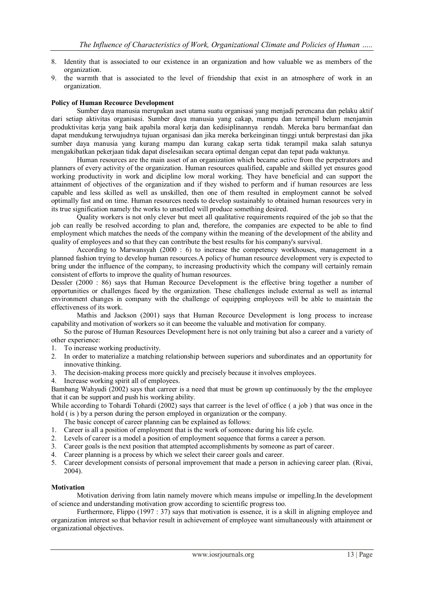- 8. Identity that is associated to our existence in an organization and how valuable we as members of the organization.
- 9. the warmth that is associated to the level of friendship that exist in an atmosphere of work in an organization.

#### **Policy of Human Recource Development**

Sumber daya manusia merupakan aset utama suatu organisasi yang menjadi perencana dan pelaku aktif dari setiap aktivitas organisasi. Sumber daya manusia yang cakap, mampu dan terampil belum menjamin produktivitas kerja yang baik apabila moral kerja dan kedisiplinannya rendah. Mereka baru bermanfaat dan dapat mendukung terwujudnya tujuan organisasi dan jika mereka berkeinginan tinggi untuk berprestasi dan jika sumber daya manusia yang kurang mampu dan kurang cakap serta tidak terampil maka salah satunya mengakibatkan pekerjaan tidak dapat diselesaikan secara optimal dengan cepat dan tepat pada waktunya.

Human resources are the main asset of an organization which became active from the perpetrators and planners of every activity of the organization. Human resources qualified, capable and skilled yet ensures good working productivity in work and dicipline low moral working. They have beneficial and can support the attainment of objectives of the organization and if they wished to perform and if human resources are less capable and less skilled as well as unskilled, then one of them resulted in employment cannot be solved optimally fast and on time. Human resources needs to develop sustainably to obtained human resources very in its true signification namely the works to unsettled will produce something desired.

Quality workers is not only clever but meet all qualitative requirements required of the job so that the job can really be resolved according to plan and, therefore, the companies are expected to be able to find employment which matches the needs of the company within the meaning of the development of the ability and quality of employees and so that they can contribute the best results for his company's survival.

According to Marwansyah (2000 : 6) to increase the competency workhouses, management in a planned fashion trying to develop human resources.A policy of human resource development very is expected to bring under the influence of the company, to increasing productivity which the company will certainly remain consistent of efforts to improve the quality of human resources.

Dessler (2000 : 86) says that Human Recource Development is the effective bring together a number of opportunities or challenges faced by the organization. These challenges include external as well as internal environment changes in company with the challenge of equipping employees will be able to maintain the effectiveness of its work.

Mathis and Jackson (2001) says that Human Recource Development is long process to increase capability and motivation of workers so it can beeome the valuable and motivation for company.

So the purose of Human Resources Development here is not only training but also a career and a variety of other experience:

- 1. To increase working productivity.
- 2. In order to materialize a matching relationship between superiors and subordinates and an opportunity for innovative thinking.
- 3. The decision-making process more quickly and precisely because it involves employees.
- 4. Increase working spirit all of employees.

Bambang Wahyudi (2002) says that carreer is a need that must be grown up continuously by the the employee that it can be support and push his working ability.

While according to Tohardi Tohardi (2002) says that carreer is the level of office ( a job ) that was once in the hold ( is ) by a person during the person employed in organization or the company.

The basic concept of career planning can be explained as follows:

- 1. Career is all a position of employment that is the work of someone during his life cycle.
- 2. Levels of career is a model a position of employment sequence that forms a career a person.
- 3. Career goals is the next position that attempted accomplishments by someone as part of career.
- 4. Career planning is a process by which we select their career goals and career.
- 5. Career development consists of personal improvement that made a person in achieving career plan. (Rivai, 2004).

## **Motivation**

Motivation deriving from latin namely movere which means impulse or impelling.In the development of science and understanding motivation grow according to scientific progress too.

Furthermore, Flippo (1997 : 37) says that motivation is essence, it is a skill in aligning employee and organization interest so that behavior result in achievement of employee want simultaneously with attainment or organizational objectives.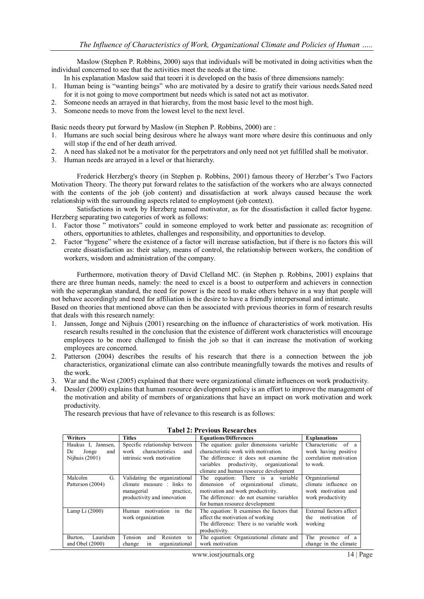Maslow (Stephen P. Robbins, 2000) says that individuals will be motivated in doing activities when the individual concerned to see that the activities meet the needs at the time.

- In his explanation Maslow said that teoeri it is developed on the basis of three dimensions namely:
- 1. Human being is "wanting beings" who are motivated by a desire to gratify their various needs.Sated need for it is not going to move comportment but needs which is sated not act as motivator.
- 2. Someone needs an arrayed in that hierarchy, from the most basic level to the most high.
- 3. Someone needs to move from the lowest level to the next level.

Basic needs theory put forward by Maslow (in Stephen P. Robbins, 2000) are :

- 1. Humans are such social being desirous where he always want more where desire this continuous and only will stop if the end of her death arrived.
- 2. A need has slaked not be a motivator for the perpetrators and only need not yet fulfilled shall be motivator.
- 3. Human needs are arrayed in a level or that hierarchy.

Frederick Herzberg's theory (in Stephen p. Robbins, 2001) famous theory of Herzber's Two Factors Motivation Theory. The theory put forward relates to the satisfaction of the workers who are always connected with the contents of the job (job content) and dissatisfaction at work always caused because the work relationship with the surrounding aspects related to employment (job context).

Satisfactions in work by Herzberg named motivator, as for the dissatisfaction it called factor hygene. Herzberg separating two categories of work as follows:

- 1. Factor those " motivators" could in someone employed to work better and passionate as: recognition of others, opportunities to athletes, challenges and responsibility, and opportunities to develop.
- 2. Factor "hygene" where the existence of a factor will increase satisfaction, but if there is no factors this will create dissatisfaction as: their salary, means of control, the relationship between workers, the condition of workers, wisdom and administration of the company.

Furthermore, motivation theory of David Clelland MC. (in Stephen p. Robbins, 2001) explains that there are three human needs, namely: the need to excel is a boost to outperform and achievers in connection with the seperangkan standard, the need for power is the need to make others behave in a way that people will not behave accordingly and need for affiliation is the desire to have a friendly interpersonal and intimate.

Based on theories that mentioned above can then be associated with previous theories in form of research results that deals with this research namely:

- 1. Janssen, Jonge and Nijhuis (2001) researching on the influence of characteristics of work motivation. His research results resulted in the conclusion that the existence of different work characteristics will encourage employees to be more challenged to finish the job so that it can increase the motivation of working employees are concerned.
- 2. Patterson (2004) describes the results of his research that there is a connection between the job characteristics, organizational climate can also contribute meaningfully towards the motives and results of the work.
- 3. War and the West (2005) explained that there were organizational climate influences on work productivity.
- 4. Dessler (2000) explains that human resource development policy is an effort to improve the management of the motivation and ability of members of organizations that have an impact on work motivation and work productivity.

The research previous that have of relevance to this research is as follows:

| <b>Writers</b>       | <b>Titles</b>                    | <b>Equations/Differences</b>               | <b>Explanations</b>       |
|----------------------|----------------------------------|--------------------------------------------|---------------------------|
| Haukus I, Jannsen,   | Specific relationship between    | The equation: guiler dimensions variable   | of a<br>Characteristic    |
| Jonge<br>De<br>and   | characteristics<br>work<br>and   | characteristic work with motivation.       | work having positive      |
| Nijhuis $(2001)$     | intrinsic work motivation        | The difference: it does not examine the    | correlation motivation    |
|                      |                                  | variables productivity, organizational     | to work.                  |
|                      |                                  | climate and human resource development     |                           |
| Malcolm<br>G.        | Validating the organizational    | The equation: There is a variable          | Organizational            |
| Patterson (2004)     | climate measure : links to       | dimension of organizational<br>climate.    | climate influence on      |
|                      | managerial<br>practice.          | motivation and work productivity.          | work motivation and       |
|                      | productivity and innovation      | The difference: do not examine variables   | work productivity         |
|                      |                                  | for human resource development             |                           |
| Lamp Li $(2000)$     | Human motivation<br>in the       | The equation: It examines the factors that | External factors affect   |
|                      | work organization                | affect the motivation of working           | motivation<br>the<br>- of |
|                      |                                  | The difference: There is no variable work  | working                   |
|                      |                                  | productivity.                              |                           |
| Lauridsen<br>Burton, | Tension<br>Resisten<br>and<br>to | The equation: Organizational climate and   | The presence of a         |
| and Obel $(2000)$    | organizational<br>change<br>1n   | work motivation                            | change in the climate     |

#### **Tabel 2: Previous Researches**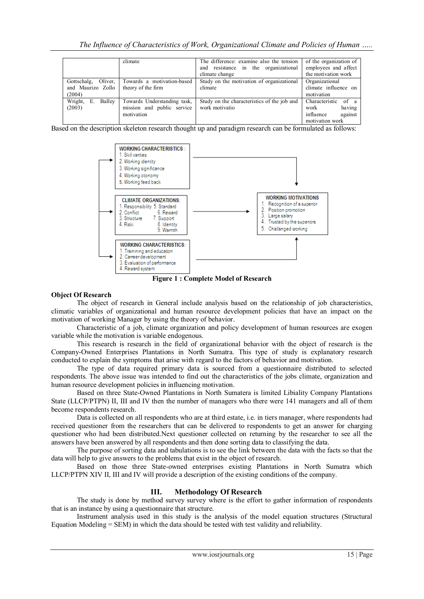|                                                       | climate                                                                 | The difference: examine also the tension<br>and resistance in the organizational<br>climate change | of the organization of<br>employees and affect<br>the motivation work               |
|-------------------------------------------------------|-------------------------------------------------------------------------|----------------------------------------------------------------------------------------------------|-------------------------------------------------------------------------------------|
| Oliver,<br>Gottschalg,<br>and Maurizo Zollo<br>(2004) | Towards a motivation-based<br>theory of the firm                        | Study on the motivation of organizational<br>climate                                               | Organizational<br>climate influence on<br>motivation                                |
| Wright,<br>Balley<br>Е.<br>(2003)                     | Towards Understanding task,<br>mission and public service<br>motivation | Study on the characteristics of the job and<br>work motivatio                                      | Characteristic<br>of a<br>having<br>work<br>influence<br>against<br>motivation work |

Based on the description skeleton research thought up and paradigm research can be formulated as follows:



**Figure 1 : Complete Model of Research**

## **Object Of Research**

The object of research in General include analysis based on the relationship of job characteristics, climatic variables of organizational and human resource development policies that have an impact on the motivation of working Manager by using the theory of behavior.

Characteristic of a job, climate organization and policy development of human resources are exogen variable while the motivation is variable endogenous.

This research is research in the field of organizational behavior with the object of research is the Company-Owned Enterprises Plantations in North Sumatra. This type of study is explanatory research conducted to explain the symptoms that arise with regard to the factors of behavior and motivation.

The type of data required primary data is sourced from a questionnaire distributed to selected respondents. The above issue was intended to find out the characteristics of the jobs climate, organization and human resource development policies in influencing motivation.

Based on three State-Owned Plantations in North Sumatera is limited Libiality Company Plantations State (LLCP/PTPN) II, III and IV then the number of managers who there were 141 managers and all of them become respondents research.

Data is collected on all respondents who are at third estate, i.e. in tiers manager, where respondents had received questioner from the researchers that can be delivered to respondents to get an answer for charging questioner who had been distributed.Next questioner collected on returning by the researcher to see all the answers have been answered by all respondents and then done sorting data to classifying the data.

The purpose of sorting data and tabulations is to see the link between the data with the facts so that the data will help to give answers to the problems that exist in the object of research.

Based on those three State-owned enterprises existing Plantations in North Sumatra which LLCP/PTPN XIV II, III and IV will provide a description of the existing conditions of the company.

## **III. Methodology Of Research**

The study is done by method survey survey where is the effort to gather information of respondents that is an instance by using a questionnaire that structure.

Instrument analysis used in this study is the analysis of the model equation structures (Structural Equation Modeling = SEM) in which the data should be tested with test validity and reliability.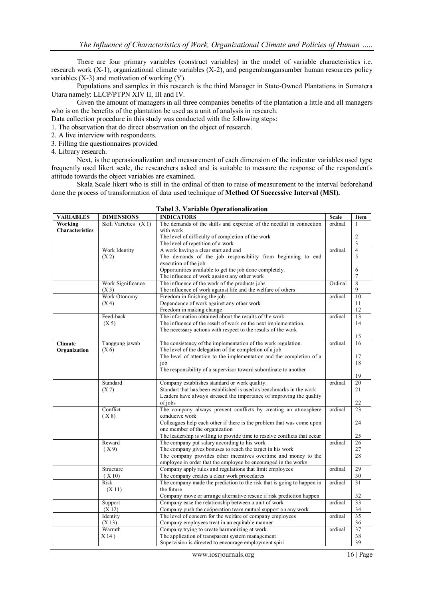There are four primary variables (construct variables) in the model of variable characteristics i.e. research work (X-1), organizational climate variables (X-2), and pengembangansumber human resources policy variables (X-3) and motivation of working (Y).

Populations and samples in this research is the third Manager in State-Owned Plantations in Sumatera Utara namely: LLCP/PTPN XIV II, III and IV.

Given the amount of managers in all three companies benefits of the plantation a little and all managers who is on the benefits of the plantation be used as a unit of analysis in research.

Data collection procedure in this study was conducted with the following steps:

1. The observation that do direct observation on the object of research.

2. A live interview with respondents.

3. Filling the questionnaires provided

4. Library research.

Next, is the operasionalization and measurement of each dimension of the indicator variables used type frequently used likert scale, the researchers asked and is suitable to measure the response of the respondent's attitude towards the object variables are examined.

Skala Scale likert who is still in the ordinal of then to raise of measurement to the interval beforehand done the process of transformation of data used technique of **Method Of Successive Interval (MSI).**

| <b>VARIABLES</b>       | <b>DIMENSIONS</b>     | <b>INDICATORS</b>                                                                                                            | <b>Scale</b> | Item            |
|------------------------|-----------------------|------------------------------------------------------------------------------------------------------------------------------|--------------|-----------------|
| Working                | Skill Varieties (X 1) | The demands of the skills and expertise of the needful in connection                                                         | ordinal      | 1               |
| <b>Characteristics</b> |                       | with work                                                                                                                    |              |                 |
|                        |                       | The level of difficulty of completion of the work                                                                            |              | $\overline{2}$  |
|                        |                       | The level of repetition of a work                                                                                            |              | 3               |
|                        | Work Identity         | A work having a clear start and end                                                                                          | ordinal      | 4               |
|                        | (X2)                  | The demands of the job responsibility from beginning to end                                                                  |              | 5               |
|                        |                       | execution of the job                                                                                                         |              |                 |
|                        |                       | Opportunities available to get the job done completely.                                                                      |              | 6               |
|                        |                       | The influence of work against any other work                                                                                 |              | 7               |
|                        | Work Significance     | The influence of the work of the products jobs                                                                               | Ordinal      | 8               |
|                        | (X3)                  | The influence of work against life and the welfare of others                                                                 |              | 9               |
|                        | Work Otonomy          | Freedom in finishing the job                                                                                                 | ordinal      | 10              |
|                        | (X <sub>4</sub> )     | Dependence of work against any other work                                                                                    |              | 11              |
|                        | Feed-back             | Freedom in making change<br>The information obtained about the results of the work                                           | ordinal      | 12<br>13        |
|                        |                       | The influence of the result of work on the next implementation.                                                              |              | 14              |
|                        | (X 5)                 | The necessary actions with respect to the results of the work                                                                |              |                 |
|                        |                       |                                                                                                                              |              | 15              |
| <b>Climate</b>         | Tanggung jawab        | The consistency of the implementation of the work regulation.                                                                | ordinal      | 16              |
| Organization           | (X <sub>6</sub> )     | The level of the delegation of the completion of a job                                                                       |              |                 |
|                        |                       | The level of attention to the implementation and the completion of a                                                         |              | 17              |
|                        |                       | job                                                                                                                          |              | 18              |
|                        |                       | The responsibility of a supervisor toward subordinate to another                                                             |              |                 |
|                        |                       |                                                                                                                              |              | 19              |
|                        | Standard              | Company establishes standard or work quality.                                                                                | ordinal      | 20              |
|                        | (X 7)                 | Standart that has been established is used as benchmarks in the work                                                         |              | 21              |
|                        |                       | Leaders have always stressed the importance of improving the quality                                                         |              |                 |
|                        |                       | of jobs                                                                                                                      |              | 22              |
|                        | Conflict              | The company always prevent conflicts by creating an atmosphere                                                               | ordinal      | 23              |
|                        | (X 8)                 | conducive work                                                                                                               |              |                 |
|                        |                       | Colleagues help each other if there is the problem that was come upon                                                        |              | 24              |
|                        |                       | one member of the organization                                                                                               |              |                 |
|                        |                       | The leadership is willing to provide time to resolve conflicts that occur                                                    |              | 25              |
|                        | Reward                | The company put salary according to his work                                                                                 | ordinal      | 26              |
|                        | (X9)                  | The company gives bonuses to reach the target in his work                                                                    |              | 27              |
|                        |                       | The company provides other incentives overtime and money to the                                                              |              | 28              |
|                        |                       | employee in order that the employee be encouraged in the works                                                               |              |                 |
|                        | Structure             | Company apply rules and regulations that limit employees                                                                     | ordinal      | 29              |
|                        | (X10)                 | The company creates a clear work procedures                                                                                  |              | 30              |
|                        | Risk                  | The company made the prediction to the risk that is going to happen in                                                       | ordinal      | 31              |
|                        | (X 11)                | the future                                                                                                                   |              | 32              |
|                        |                       | Company move or arrange alternative rescue if risk prediction happen<br>Company ease the relationship between a unit of work | ordinal      | $\overline{33}$ |
|                        | Support<br>(X 12)     | Company push the coöperation team mutual support on any work                                                                 |              | 34              |
|                        | Identity              | The level of concern for the welfare of company employees                                                                    | ordinal      | $\overline{35}$ |
|                        | (X13)                 | Company employees treat in an equitable manner                                                                               |              | 36              |
|                        | Warmth                | Company trying to create harmonizing at work.                                                                                | ordinal      | 37              |
|                        | X14)                  | The application of transparent system management                                                                             |              | 38              |
|                        |                       | Supervision is directed to encourage employment spiri                                                                        |              | 39              |
|                        |                       |                                                                                                                              |              |                 |

#### **Tabel 3. Variable Operationalization**

www.iosrjournals.org 16 | Page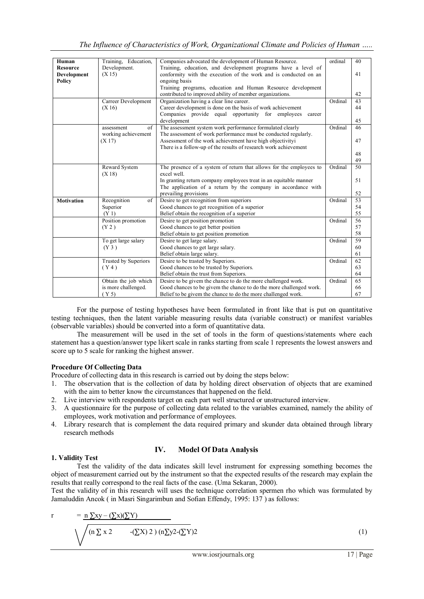| Human             | Training, Education, | Companies advocated the development of Human Resource.              | ordinal | 40 |
|-------------------|----------------------|---------------------------------------------------------------------|---------|----|
| <b>Resource</b>   | Development.         | Training, education, and development programs have a level of       |         |    |
| Development       | (X15)                | conformity with the execution of the work and is conducted on an    |         | 41 |
| Policy            |                      | ongoing basis                                                       |         |    |
|                   |                      | Training programs, education and Human Resource development         |         |    |
|                   |                      | contributed to improved ability of member organizations.            |         | 42 |
|                   | Carreer Development  | Organization having a clear line career.                            | Ordinal | 43 |
|                   | (X16)                | Career development is done on the basis of work achievement         |         | 44 |
|                   |                      | Companies provide equal opportunity for employees<br>career         |         |    |
|                   |                      | development                                                         |         | 45 |
|                   | of<br>assessment     | The assessment system work performance formulated clearly           | Ordinal | 46 |
|                   | working achievement  | The assessment of work performance must be conducted regularly.     |         |    |
|                   | (X 17)               | Assessment of the work achievement have high objectivityi           |         | 47 |
|                   |                      | There is a follow-up of the results of research work achievement    |         |    |
|                   |                      |                                                                     |         | 48 |
|                   |                      |                                                                     |         | 49 |
|                   | Reward System        | The presence of a system of return that allows for the employees to | Ordinal | 50 |
|                   | (X18)                | excel well.                                                         |         |    |
|                   |                      | In granting return company employees treat in an equitable manner   |         | 51 |
|                   |                      | The application of a return by the company in accordance with       |         |    |
|                   |                      | prevailing provisions                                               |         | 52 |
| <b>Motivation</b> | Recognition<br>of    | Desire to get recognition from superiors                            | Ordinal | 53 |
|                   | Superior             | Good chances to get recognition of a superior                       |         | 54 |
|                   | (Y <sub>1</sub> )    | Belief obtain the recognition of a superior                         |         | 55 |
|                   | Position promotion   | Desire to get position promotion                                    | Ordinal | 56 |
|                   | (Y 2)                | Good chances to get better position                                 |         | 57 |
|                   |                      | Belief obtain to get position promotion                             |         | 58 |
|                   | To get large salary  | Desire to get large salary.                                         | Ordinal | 59 |
|                   | (Y <sub>3</sub> )    | Good chances to get large salary.                                   |         | 60 |
|                   |                      | Belief obtain large salary.                                         |         | 61 |
|                   | Trusted by Superiors | Desire to be trasted by Superiors.                                  | Ordinal | 62 |
|                   | (Y4)                 | Good chances to be trusted by Superiors.                            |         | 63 |
|                   |                      | Belief obtain the trust from Superiors.                             |         | 64 |
|                   | Obtain the job which | Desire to be givem the chance to do the more challenged work.       | Ordinal | 65 |
|                   | is more challenged.  | Good chances to be givem the chance to do the more challenged work. |         | 66 |
|                   | (Y 5)                | Belief to be givem the chance to do the more challenged work.       |         | 67 |

For the purpose of testing hypotheses have been formulated in front like that is put on quantitative testing techniques, then the latent variable measuring results data (variable construct) or manifest variables (observable variables) should be converted into a form of quantitative data.

The measurement will be used in the set of tools in the form of questions/statements where each statement has a question/answer type likert scale in ranks starting from scale 1 represents the lowest answers and score up to 5 scale for ranking the highest answer.

## **Procedure Of Collecting Data**

Procedure of collecting data in this research is carried out by doing the steps below:

- 1. The observation that is the collection of data by holding direct observation of objects that are examined with the aim to better know the circumstances that happened on the field.
- 2. Live interview with respondents target on each part well structured or unstructured interview.
- 3. A questionnaire for the purpose of collecting data related to the variables examined, namely the ability of employees, work motivation and performance of employees.
- 4. Library research that is complement the data required primary and skunder data obtained through library research methods

## **IV. Model Of Data Analysis**

#### **1. Validity Test**

Test the validity of the data indicates skill level instrument for expressing something becomes the object of measurement carried out by the instrument so that the expected results of the research may explain the results that really correspond to the real facts of the case. (Uma Sekaran, 2000).

Test the validity of in this research will uses the technique correlation spermen rho which was formulated by Jamaluddin Ancok ( in Masri Singarimbun and Sofian Effendy, 1995: 137 ) as follows:

$$
r = \frac{n \sum xy - (\sum x)(\sum Y)}{(n \sum x \cdot 2 - (\sum X) \cdot 2)(n \sum y^2 - (\sum Y) \cdot 2)}
$$
(1)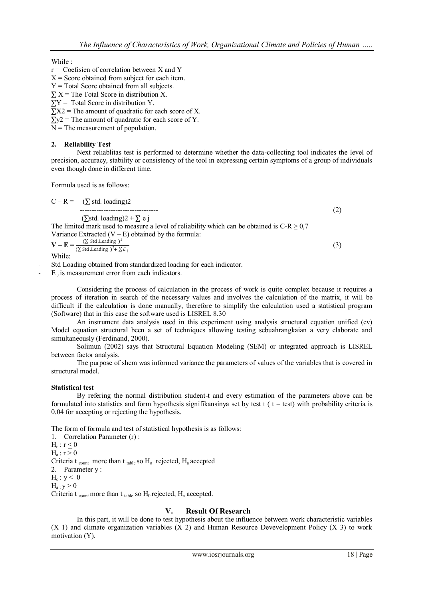While :

 $r =$  Coefisien of correlation between X and Y

 $X =$  Score obtained from subject for each item.

 $Y = Total Score obtained from all subjects.$ 

 $\Sigma$  X = The Total Score in distribution X.

 $\overline{Y}Y = \text{Total Score}$  in distribution Y.

 $\sum X_2$  = The amount of quadratic for each score of X.

 $\Sigma y^2$  = The amount of quadratic for each score of Y.

 $N =$ The measurement of population.

## **2. Reliability Test**

Next reliablitas test is performed to determine whether the data-collecting tool indicates the level of precision, accuracy, stability or consistency of the tool in expressing certain symptoms of a group of individuals even though done in different time.

Formula used is as follows:

 $C - R = (\sum$  std. loading)2 --------------------------------- (2) (∑std. loading)2 + ∑ e j The limited mark used to measure a level of reliability which can be obtained is  $C-R \ge 0.7$ Variance Extracted  $(V - E)$  obtained by the formula:  $\mathbf{V} - \mathbf{E} = \frac{(\sum \text{Std Loading})^2}{(\sum \text{Set L L})^2 + (\sum \text{Set L})^2}$  $(\sum$  Std .Loading  $)^2 + \sum \mathcal{E}_j$ (3)

While:

Std Loading obtained from standardized loading for each indicator.

 $E_i$  is measurement error from each indicators.

Considering the process of calculation in the process of work is quite complex because it requires a process of iteration in search of the necessary values and involves the calculation of the matrix, it will be difficult if the calculation is done manually, therefore to simplify the calculation used a statistical program (Software) that in this case the software used is LISREL 8.30

An instrument data analysis used in this experiment using analysis structural equation unified (ev) Model equation structural been a set of techniques allowing testing sebuahrangkaian a very elaborate and simultaneously (Ferdinand, 2000).

Solimun (2002) says that Structural Equation Modeling (SEM) or integrated approach is LISREL between factor analysis.

The purpose of shem was informed variance the parameters of values of the variables that is covered in structural model.

## **Statistical test**

By refering the normal distribution student-t and every estimation of the parameters above can be formulated into statistics and form hypothesis signifikansinya set by test  $t (t - test)$  with probability criteria is 0,04 for accepting or rejecting the hypothesis.

The form of formula and test of statistical hypothesis is as follows:

1. Correlation Parameter (r) :  $H_0: r < 0$  $H_a: r > 0$ Criteria t  $_{\text{count}}$  more than t  $_{\text{table}}$  so  $H_0$  rejected,  $H_a$  accepted

2. Parameter y :

 $H_o: y \leq 0$ 

 $H_a \cdot y > 0$ 

Criteria t  $_{\text{count}}$  more than t  $_{\text{table}}$  so  $H_0$  rejected,  $H_a$  accepted.

## **V. Result Of Research**

In this part, it will be done to test hypothesis about the influence between work characteristic variables (X 1) and climate organization variables (X 2) and Human Resource Devevelopment Policy (X 3) to work motivation (Y).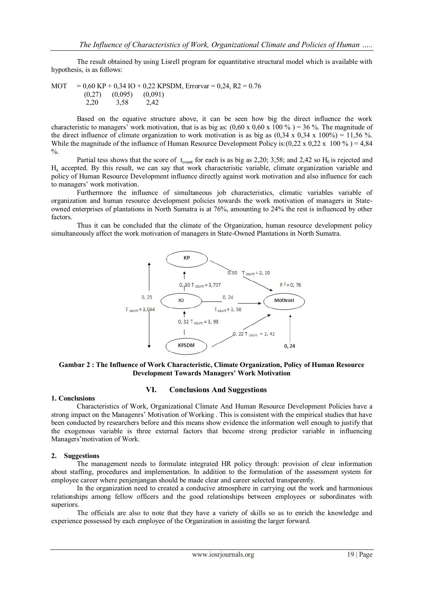The result obtained by using Lisrell program for equantitative structural model which is available with hypothesis, is as follows:

MOT =  $0.60 \text{ KP} + 0.34 \text{ IO} + 0.22 \text{ KPSDM}$ , Errorvar =  $0.24$ , R2 =  $0.76$  (0,27) (0,095) (0,091) 2,20 3,58 2,42

Based on the equative structure above, it can be seen how big the direct influence the work characteristic to managers' work motivation, that is as big as:  $(0.60 \times 0.60 \times 100\%) = 36\%$ . The magnitude of the direct influence of climate organization to work motivation is as big as  $(0,34 \times 0.34 \times 100\%) = 11,56\%$ . While the magnitude of the influence of Human Resource Development Policy is:(0,22 x 0,22 x 100 %) = 4,84  $\%$ .

Partial tess shows that the score of  $t_{\text{count}}$  for each is as big as 2,20; 3,58; and 2,42 so  $H_0$  is rejected and H<sup>a</sup> accepted. By this result, we can say that work characteristic variable, climate organization variable and policy of Human Resource Development influence directly against work motivation and also influence for each to managers' work motivation.

Furthermore the influence of simultaneous job characteristics, climatic variables variable of organization and human resource development policies towards the work motivation of managers in Stateowned enterprises of plantations in North Sumatra is at 76%, amounting to 24% the rest is influenced by other factors.

Thus it can be concluded that the climate of the Organization, human resource development policy simultaneously affect the work motivation of managers in State-Owned Plantations in North Sumatra.



#### **Gambar 2 : The Influence of Work Characteristic, Climate Organization, Policy of Human Resource Development Towards Managers' Work Motivation**

#### **1. Conclusions**

#### **VI. Conclusions And Suggestions**

Characteristics of Work, Organizational Climate And Human Resource Development Policies have a strong impact on the Managenrs' Motivation of Working . This is consistent with the empirical studies that have been conducted by researchers before and this means show evidence the information well enough to justify that the exogenous variable is three external factors that become strong predictor variable in influencing Managers'motivation of Work.

#### **2. Suggestions**

The management needs to formulate integrated HR policy through: provision of clear information about staffing, procedures and implementation. In addition to the formulation of the assessment system for employee career where penjenjangan should be made clear and career selected transparently.

In the organization need to created a conducive atmosphere in carrying out the work and harmonious relationships among fellow officers and the good relationships between employees or subordinates with superiors.

The officials are also to note that they have a variety of skills so as to enrich the knowledge and experience possessed by each employee of the Organization in assisting the larger forward.